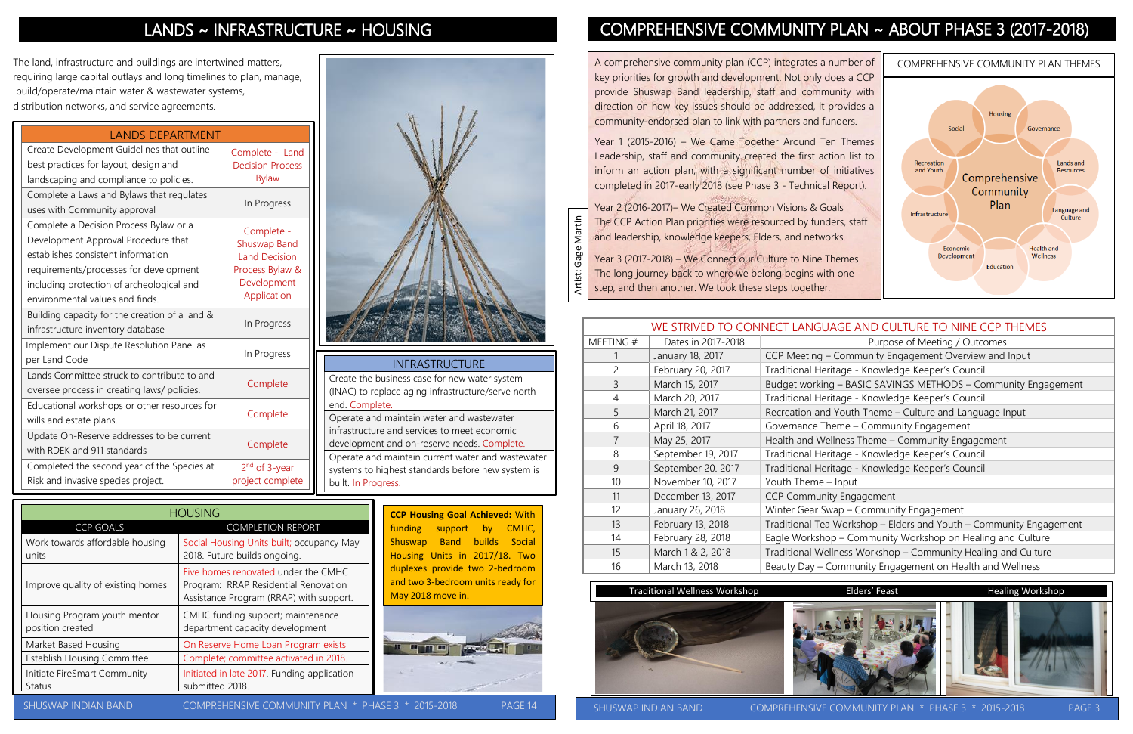The land, infrastructure and buildings are intertwined matters, requiring large capital outlays and long timelines to plan, manage, build/operate/maintain water & wastewater systems, distribution networks, and service agreements.

| WE STRIVED TO CONNECT LANGUAGE AND CULTURE TO NINE CCP THEMES |                    |                                                                    |  |  |
|---------------------------------------------------------------|--------------------|--------------------------------------------------------------------|--|--|
| MEETING#                                                      | Dates in 2017-2018 | Purpose of Meeting / Outcomes                                      |  |  |
|                                                               | January 18, 2017   | CCP Meeting - Community Engagement Overview and Input              |  |  |
| $\overline{2}$                                                | February 20, 2017  | Traditional Heritage - Knowledge Keeper's Council                  |  |  |
| $\overline{3}$                                                | March 15, 2017     | Budget working - BASIC SAVINGS METHODS - Community Engagement      |  |  |
| $\overline{4}$                                                | March 20, 2017     | Traditional Heritage - Knowledge Keeper's Council                  |  |  |
| 5                                                             | March 21, 2017     | Recreation and Youth Theme - Culture and Language Input            |  |  |
| 6                                                             | April 18, 2017     | Governance Theme - Community Engagement                            |  |  |
| $\overline{7}$                                                | May 25, 2017       | Health and Wellness Theme - Community Engagement                   |  |  |
| 8                                                             | September 19, 2017 | Traditional Heritage - Knowledge Keeper's Council                  |  |  |
| 9                                                             | September 20. 2017 | Traditional Heritage - Knowledge Keeper's Council                  |  |  |
| 10                                                            | November 10, 2017  | Youth Theme - Input                                                |  |  |
| 11                                                            | December 13, 2017  | <b>CCP Community Engagement</b>                                    |  |  |
| 12                                                            | January 26, 2018   | Winter Gear Swap - Community Engagement                            |  |  |
| 13                                                            | February 13, 2018  | Traditional Tea Workshop - Elders and Youth - Community Engagement |  |  |
| 14                                                            | February 28, 2018  | Eagle Workshop - Community Workshop on Healing and Culture         |  |  |
| 15                                                            | March 1 & 2, 2018  | Traditional Wellness Workshop - Community Healing and Culture      |  |  |
| 16                                                            | March 13, 2018     | Beauty Day - Community Engagement on Health and Wellness           |  |  |

PAGE

A comprehensive community plan (CCP) integrates a number of key priorities for growth and development. Not only does a CCP provide Shuswap Band leadership, staff and community with direction on how key issues should be addressed, it provides a community-endorsed plan to link with partners and funders.

Year 1 (2015-2016) – We Came Together Around Ten Themes Leadership, staff and community created the first action list to inform an action plan, with a significant number of initiatives completed in 2017-early 2018 (see Phase 3 - Technical Report).

Year 2 (2016-2017)– We Created Common Visions & Goals Gage Martin The CCP Action Plan priorities were resourced by funders, staff and leadership, knowledge keepers, Elders, and networks.









SHUSWAP INDIAN BAND COMPREHENSIVE COMMUNITY PLAN \* PHASE 3 \* 2015-2018 PAGE 3

**CCP Housing Goal Achieved:** With funding support by CMHC, Shuswap Band builds Social Housing Units in 2017/18. Two duplexes provide two 2-bedroom and two 3-bedroom units ready for May 2018 move in.



 $3 * 2015 - 2018$  PAGE 14

# LANDS ~ INFRASTRUCTURE ~ HOUSING COMPREHENSIVE COMMUNITY PLAN ~ ABOUT PHASE 3 (2017-2018)

|                                                  | <b>HOUSING</b>                                                                                                         |
|--------------------------------------------------|------------------------------------------------------------------------------------------------------------------------|
| <b>CCP GOALS</b>                                 | <b>COMPLETION REPORT</b>                                                                                               |
| Work towards affordable housing<br>units         | Social Housing Units built; occupancy May<br>2018. Future builds ongoing.                                              |
| Improve quality of existing homes                | Five homes renovated under the CMHC<br>Program: RRAP Residential Renovation<br>Assistance Program (RRAP) with support. |
| Housing Program youth mentor<br>position created | CMHC funding support; maintenance<br>department capacity development                                                   |
| Market Based Housing                             | On Reserve Home Loan Program exists                                                                                    |
| <b>Establish Housing Committee</b>               | Complete; committee activated in 2018.                                                                                 |
| Initiate FireSmart Community<br><b>Status</b>    | Initiated in late 2017. Funding application<br>submitted 2018.                                                         |
| SHI ISMAP INDIAN RAND                            | OMPREHENSIVE COMMI INITY                                                                                               |

## LANDS DEPARTMENT

Artist: Gage Martin Year 3 (2017-2018) – We Connect our Culture to Nine Themes Artist: The long journey back to where we belong begins with one step, and then another. We took these steps together.

| Create Development Guidelines that outline<br>best practices for layout, design and                                                                                                                                                           | Complete - Land<br><b>Decision Process</b>                                                                 |
|-----------------------------------------------------------------------------------------------------------------------------------------------------------------------------------------------------------------------------------------------|------------------------------------------------------------------------------------------------------------|
| landscaping and compliance to policies.                                                                                                                                                                                                       | <b>Bylaw</b>                                                                                               |
| Complete a Laws and Bylaws that regulates<br>uses with Community approval                                                                                                                                                                     | In Progress                                                                                                |
| Complete a Decision Process Bylaw or a<br>Development Approval Procedure that<br>establishes consistent information<br>requirements/processes for development<br>including protection of archeological and<br>environmental values and finds. | Complete -<br><b>Shuswap Band</b><br><b>Land Decision</b><br>Process Bylaw &<br>Development<br>Application |
| Building capacity for the creation of a land &<br>infrastructure inventory database                                                                                                                                                           | In Progress                                                                                                |
| Implement our Dispute Resolution Panel as<br>per Land Code                                                                                                                                                                                    | In Progress                                                                                                |
| Lands Committee struck to contribute to and<br>oversee process in creating laws/ policies.                                                                                                                                                    | Complete                                                                                                   |
| Educational workshops or other resources for<br>wills and estate plans.                                                                                                                                                                       | Complete                                                                                                   |
| Update On-Reserve addresses to be current<br>with RDEK and 911 standards                                                                                                                                                                      | Complete                                                                                                   |
| Completed the second year of the Species at<br>Risk and invasive species project.                                                                                                                                                             | 2 <sup>nd</sup> of 3-year<br>project complete                                                              |

PAGE

### INFRASTRUCTURE

Create the business case for new water system (INAC) to replace aging infrastructure/serve north end. Complete. Operate and maintain water and wastewater

infrastructure and services to meet economic development and on-reserve needs. Complete. Operate and maintain current water and wastewater systems to highest standards before new system is built. In Progress.